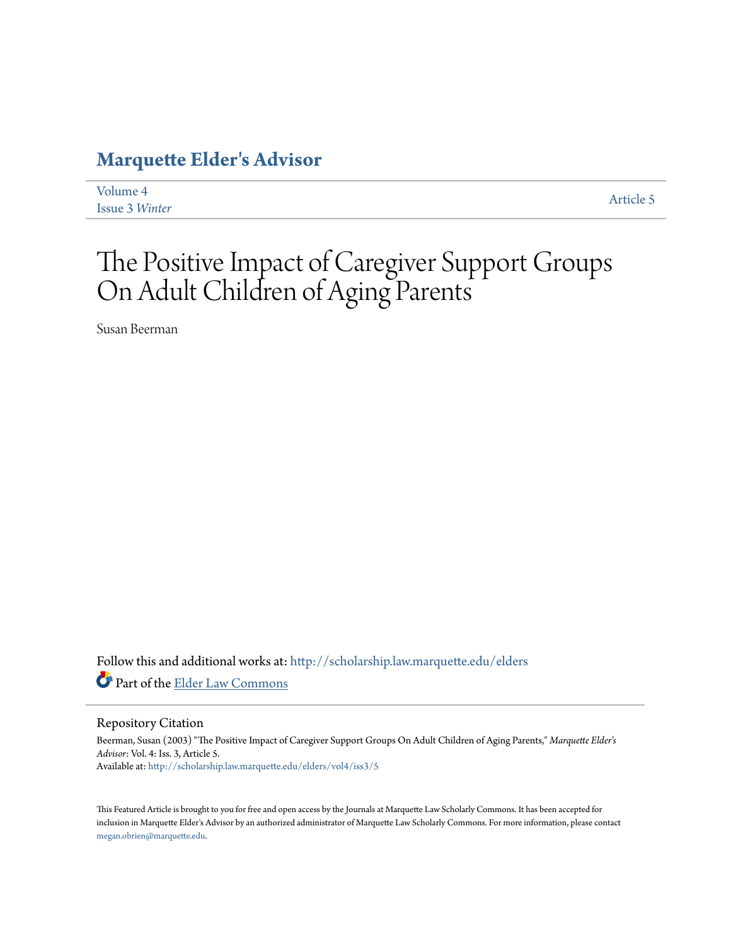### **[Marquette Elder's Advisor](http://scholarship.law.marquette.edu/elders?utm_source=scholarship.law.marquette.edu%2Felders%2Fvol4%2Fiss3%2F5&utm_medium=PDF&utm_campaign=PDFCoverPages)**

| Volume 4              |  |
|-----------------------|--|
| <b>Issue 3 Winter</b> |  |

[Article 5](http://scholarship.law.marquette.edu/elders/vol4/iss3/5?utm_source=scholarship.law.marquette.edu%2Felders%2Fvol4%2Fiss3%2F5&utm_medium=PDF&utm_campaign=PDFCoverPages)

## The Positive Impact of Caregiver Support Groups On Adult Children of Aging Parents

Susan Beerman

Follow this and additional works at: [http://scholarship.law.marquette.edu/elders](http://scholarship.law.marquette.edu/elders?utm_source=scholarship.law.marquette.edu%2Felders%2Fvol4%2Fiss3%2F5&utm_medium=PDF&utm_campaign=PDFCoverPages) Part of the [Elder Law Commons](http://network.bepress.com/hgg/discipline/842?utm_source=scholarship.law.marquette.edu%2Felders%2Fvol4%2Fiss3%2F5&utm_medium=PDF&utm_campaign=PDFCoverPages)

#### Repository Citation

Beerman, Susan (2003) "The Positive Impact of Caregiver Support Groups On Adult Children of Aging Parents," *Marquette Elder's Advisor*: Vol. 4: Iss. 3, Article 5. Available at: [http://scholarship.law.marquette.edu/elders/vol4/iss3/5](http://scholarship.law.marquette.edu/elders/vol4/iss3/5?utm_source=scholarship.law.marquette.edu%2Felders%2Fvol4%2Fiss3%2F5&utm_medium=PDF&utm_campaign=PDFCoverPages)

This Featured Article is brought to you for free and open access by the Journals at Marquette Law Scholarly Commons. It has been accepted for inclusion in Marquette Elder's Advisor by an authorized administrator of Marquette Law Scholarly Commons. For more information, please contact [megan.obrien@marquette.edu.](mailto:megan.obrien@marquette.edu)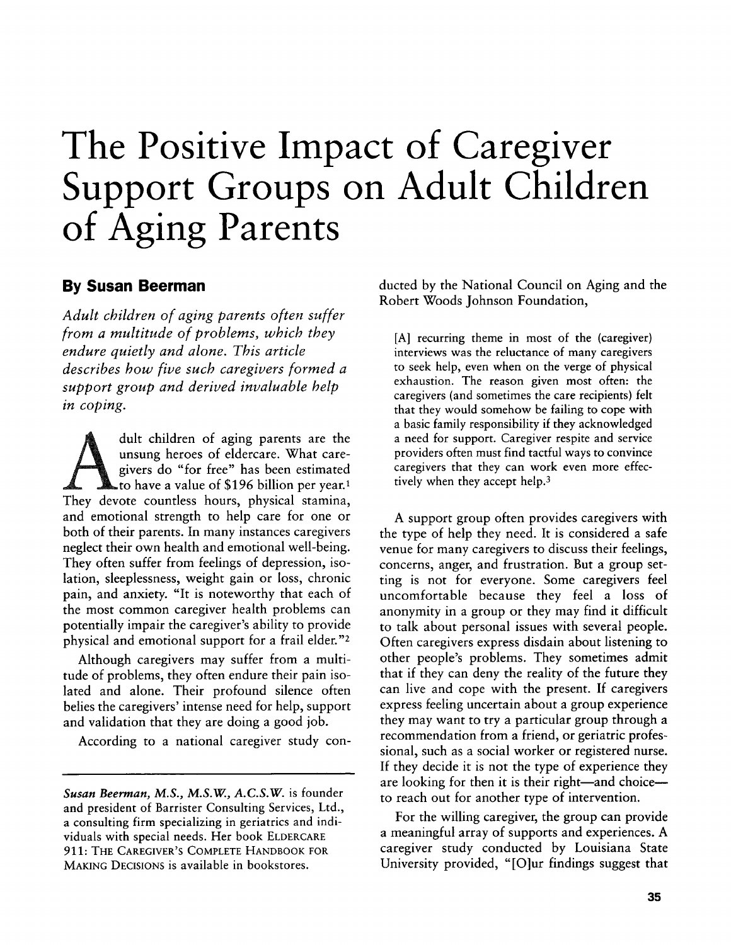# **The Positive Impact of Caregiver Support Groups on Adult Children of Aging Parents**

#### **By Susan Beerman**

*Adult children of aging parents often suffer from a multitude of problems, which they endure quietly and alone. This article describes how five such caregivers formed a support group and derived invaluable help in coping.*

dult children of aging parents are the unsung heroes of eldercare. What caregivers do "for free" has been estimated to have a value of **\$196** billion per year.' They devote countless hours, physical stamina, and emotional strength to help care for one or both of their parents. In many instances caregivers neglect their own health and emotional well-being. They often suffer from feelings of depression, isolation, sleeplessness, weight gain or loss, chronic pain, and anxiety. "It is noteworthy that each of the most common caregiver health problems can potentially impair the caregiver's ability to provide physical and emotional support for a frail elder."2

Although caregivers may suffer from a multitude of problems, they often endure their pain isolated and alone. Their profound silence often belies the caregivers' intense need for help, support and validation that they are doing a good **job.**

According to a national caregiver study con-

*Susan Beerman, M.S., M.S.W, A.C.S.W.* is founder and president of Barrister Consulting Services, Ltd., a consulting firm specializing in geriatrics and individuals with special needs. Her book **ELDERCARE 911: THE CAREGIVER'S COMPLETE HANDBOOK FOR MAKING DECISIONS is** available in bookstores.

ducted **by** the National Council on Aging and the Robert Woods Johnson Foundation,

**[A]** recurring theme in most of the (caregiver) interviews was the reluctance of many caregivers to seek help, even when on the verge of physical exhaustion. The reason given most often: the caregivers (and sometimes the care recipients) felt that they would somehow be failing to cope with a basic family responsibility **if** they acknowledged a need for support. Caregiver respite and service providers often must find tactful ways to convince caregivers that they can work even more effectively when they accept help.<sup>3</sup>

**A** support group often provides caregivers with the type of help they need. It is considered a safe venue for many caregivers to discuss their feelings, concerns, anger, and frustration. But a group setting is not for everyone. Some caregivers feel uncomfortable because they feel a loss of anonymity in a group or they may find it difficult to talk about personal issues with several people. Often caregivers express disdain about listening to other people's problems. They sometimes admit that if they can deny the reality of the future they can live and cope with the present. **If** caregivers express feeling uncertain about a group experience they may want to try a particular group through a recommendation from a friend, or geriatric professional, such as a social worker or registered nurse. **If** they decide it is not the type of experience they are looking for then it is their right—and choice to reach out for another type of intervention.

For the willing caregiver, the group can provide a meaningful array of supports and experiences. **A** caregiver study conducted **by** Louisiana State University provided, "[Olur findings suggest that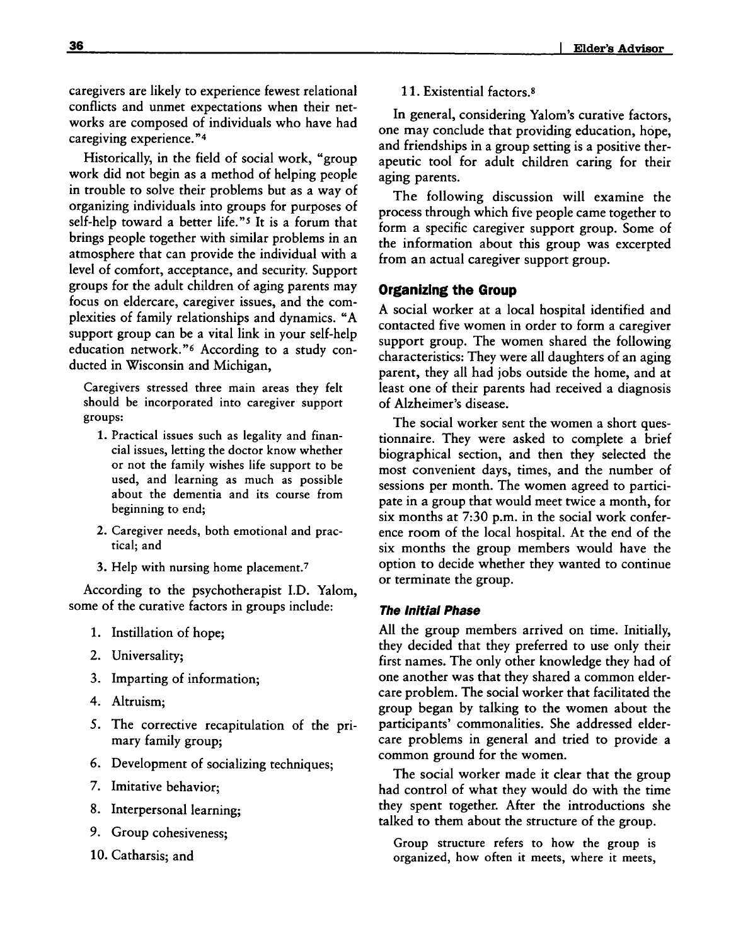caregivers are likely to experience fewest relational conflicts and unmet expectations when their networks are composed of individuals who have had caregiving experience."4

Historically, in the field of social work, "group work did not begin as a method of helping people in trouble to solve their problems but as a way of organizing individuals into groups for purposes of self-help toward a better life."s It is a forum that brings people together with similar problems in an atmosphere that can provide the individual with a level of comfort, acceptance, and security. Support groups for the adult children of aging parents may focus on eldercare, caregiver issues, and the complexities of family relationships and dynamics. **"A** support group can be a vital link in your self-help education network."6 According to a study conducted in Wisconsin and Michigan,

Caregivers stressed three main areas they felt should be incorporated into caregiver support groups:

- **1.** Practical issues such as legality and financial issues, letting the doctor know whether or not the family wishes life support to be used, and learning as much as possible about the dementia and its course from beginning to end;
- 2. Caregiver needs, both emotional and practical; and
- **3.** Help with nursing home placement.<sup>7</sup>

According to the psychotherapist **I.D.** Yalom, some of the curative factors in groups include:

- **1.** Instillation **of** hope;
- 2. Universality;
- **3.** Imparting of information;
- 4. Altruism;
- **5.** The corrective recapitulation of the primary family group;
- **6.** Development of socializing techniques;
- **7.** Imitative behavior;
- **8.** Interpersonal learning;
- **9.** Group cohesiveness;
- **10.** Catharsis; and

#### **11.** Existential factors.8

In general, considering Yalom's curative factors, one may conclude that providing education, hope, and friendships in a group setting is a positive therapeutic tool for adult children caring for their aging parents.

The following discussion will examine the process through which five people came together to form a specific caregiver support group. Some of the information about this group was excerpted from an actual caregiver support group.

#### **Organizing the Group**

**A** social worker at a local hospital identified and contacted five women in order to form a caregiver support group. The women shared the following characteristics: They were all daughters of an aging parent, they all had jobs outside the home, and at least one of their parents had received a diagnosis of Alzheimer's disease.

The social worker sent the women a short questionnaire. They were asked to complete a brief biographical section, and then they selected the most convenient days, times, and the number of sessions per month. The women agreed to participate in a group that would meet twice a month, for six months at **7:30** p.m. in the social work conference room of the local hospital. At the end of the six months the group members would have the option to decide whether they wanted to continue or terminate the group.

#### **The Initial Phase**

**All** the group members arrived on time. Initially, they decided that they preferred to use only their first names. The only other knowledge they had of one another was that they shared a common eldercare problem. The social worker that facilitated the group began **by** talking to the women about the participants' commonalities. She addressed eldercare problems in general and tried to provide a common ground for the women.

The social worker made **it** clear that the group had control of what they would do with the time they spent together. After the introductions she talked to them about the structure of the group.

Group structure refers to how the group is organized, how often **it** meets, where **it** meets,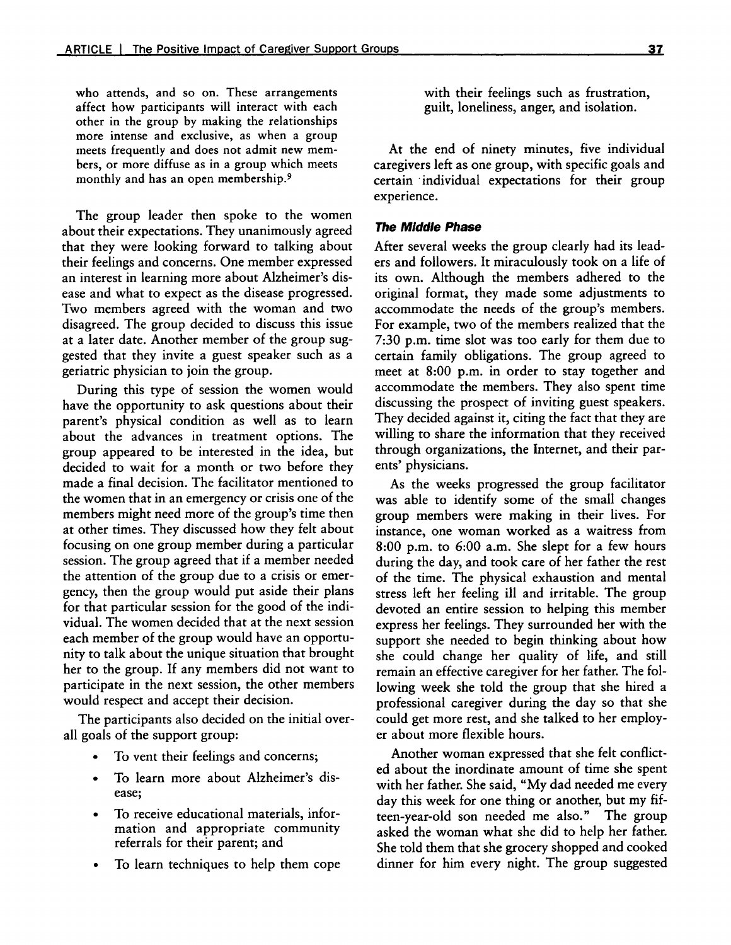who attends, and so on. These arrangements affect how participants will interact with each other in the group **by** making the relationships more intense and exclusive, as when a group meets frequently and does not admit new members, or more diffuse as in a group which meets monthly and has an open membership.<sup>9</sup>

The group leader then spoke to the women about their expectations. They unanimously agreed that they were looking forward to talking about their feelings and concerns. One member expressed an interest in learning more about Alzheimer's disease and what to expect as the disease progressed. Two members agreed with the woman and two disagreed. The group decided to discuss this issue at a later date. Another member of the group suggested that they invite a guest speaker such as a geriatric physician to join the group.

During this type of session the women would have the opportunity to ask questions about their parent's physical condition as well as to learn about the advances in treatment options. The group appeared to be interested in the idea, but decided to wait for a month or two before they made a final decision. The facilitator mentioned to the women that in an emergency or crisis one of the members might need more of the group's time then at other times. They discussed how they felt about focusing on one group member during a particular session. The group agreed that if a member needed the attention of the group due to a crisis or emergency, then the group would put aside their plans for that particular session for the good of the individual. The women decided that at the next session each member of the group would have an opportunity to talk about the unique situation that brought her to the group. **If** any members did not want to participate in the next session, the other members would respect and accept their decision.

The participants also decided on the initial overall goals of the support group:

- To vent their feelings and concerns;
- \* To learn more about Alzheimer's disease;
- \* To receive educational materials, information and appropriate community referrals for their parent; and
- \* To learn techniques to help them cope

with their feelings such as frustration, guilt, loneliness, anger, and isolation.

At the end of ninety minutes, five individual caregivers left as one group, with specific goals and certain individual expectations for their group experience.

#### **The Middle Phase**

After several weeks the group clearly had its leaders and followers. It miraculously took on a life of its own. Although the members adhered to the original format, they made some adjustments to accommodate the needs of the group's members. For example, two of the members realized that the **7:30** p.m. time slot was too early for them due to certain family obligations. The group agreed to meet at **8:00** p.m. in order to stay together and accommodate the members. They also spent time discussing the prospect of inviting guest speakers. **They** decided against it, citing the fact that they are willing to share the information that they received through organizations, the Internet, and their parents' physicians.

As the weeks progressed the group facilitator was able to identify some of the small changes group members were making in their lives. For instance, one woman worked as a waitress from **8:00** p.m. to **6:00** a.m. She slept for a few hours during the day, and took care of her father the rest of the time. The physical exhaustion and mental stress left her feeling ill and irritable. The group devoted an entire session to helping this member express her feelings. They surrounded her with the support she needed to begin thinking about how she could change her quality of life, and still remain an effective caregiver for her father. The following week she told the group that she hired a professional caregiver during the day so that she could get more rest, and she talked to her employer about more flexible hours.

Another woman expressed that she felt conflicted about the inordinate amount of time she spent with her father. She said, **"My** dad needed me every day this week for one thing or another, but my **fif**teen-year-old son needed me also." The group asked the woman what she did to help her father. She told them that she grocery shopped and cooked dinner for him every night. The group suggested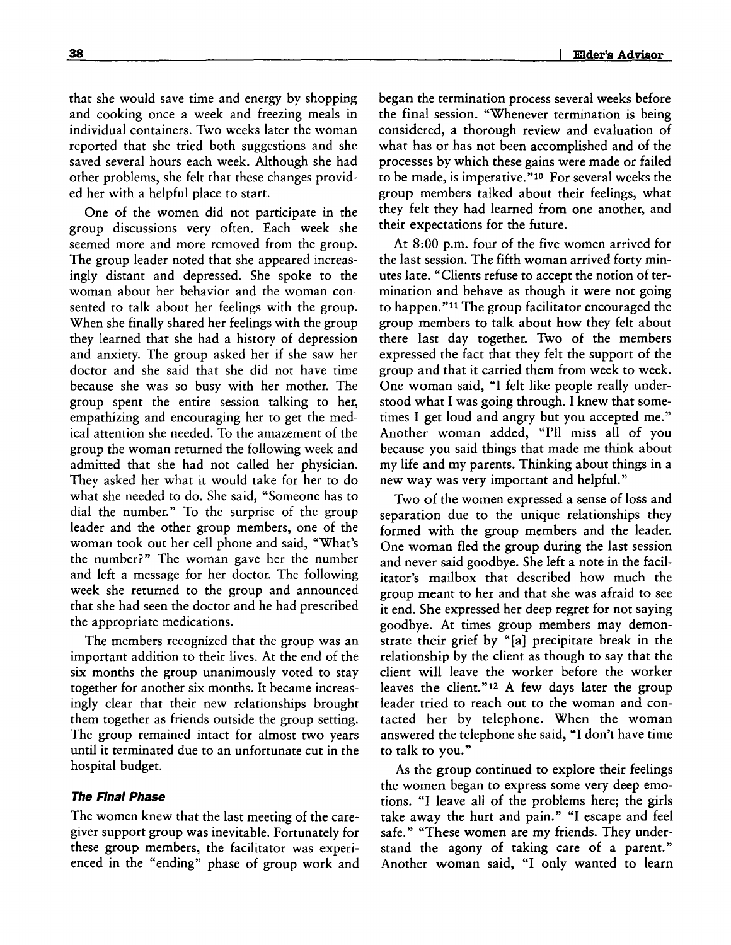that she would save time and energy **by** shopping and cooking once a week and freezing meals in individual containers. Two weeks later the woman reported that she tried both suggestions and she saved several hours each week. Although she had other problems, she felt that these changes provided her with a helpful place to start.

One of the women did not participate in the group discussions very often. Each week she seemed more and more removed from the group. The group leader noted that she appeared increasingly distant and depressed. She spoke to the woman about her behavior and the woman consented to talk about her feelings with the group. When she finally shared her feelings with the group they learned that she had a history of depression and anxiety. The group asked her if she saw her doctor and she said that she did not have time because she was so busy with her mother. The group spent the entire session talking to her, empathizing and encouraging her to get the medical attention she needed. To the amazement of the group the woman returned the following week and admitted that she had not called her physician. They asked her what **it** would take for her to do what she needed to do. She said, "Someone has to dial the number." To the surprise of the group leader and the other group members, one of the woman took out her cell phone and said, "What's the number?" The woman gave her the number and left a message for her doctor. The following week she returned to the group and announced that she had seen the doctor and he had prescribed the appropriate medications.

The members recognized that the group was an important addition to their lives. At the end of the six months the group unanimously voted to stay together for another six months. It became increasingly clear that their new relationships brought them together as friends outside the group setting. The group remained intact for almost two years until **it** terminated due to an unfortunate cut in the hospital budget.

#### **The Final Phase**

The women knew that the last meeting of the caregiver support group was inevitable. Fortunately for these group members, the facilitator was experienced in the "ending" phase of group work and

began the termination process several weeks before the final session. "Whenever termination is being considered, a thorough review and evaluation of what has or has not been accomplished and of the processes **by** which these gains were made or failed to be made, is imperative."<sup>10</sup> For several weeks the group members talked about their feelings, what they felt they had learned from one another, and their expectations for the future.

At **8:00** p.m. four of the five women arrived for the last session. The fifth woman arrived forty minutes late. "Clients refuse to accept the notion of termination and behave as though **it** were not going to happen."II The group facilitator encouraged the group members to talk about how they felt about there last day together. Two of the members expressed the fact that they felt the support of the group and that **it** carried them from week to week. One woman said, **"I** felt like people really understood what I was going through. **I** knew that sometimes I get loud and angry but you accepted me." Another woman added, "I'll miss all of you because you said things that made me think about my life and my parents. Thinking about things in a new way was very important and helpful."

Two of the women expressed a sense of loss and separation due to the unique relationships they formed with the group members and the leader. One woman fled the group during the last session and never said goodbye. She left a note in the facilitator's mailbox that described how much the group meant to her and that she was afraid to see **it** end. She expressed her deep regret for not saying goodbye. At times group members may demonstrate their grief **by** "[a] precipitate break in the relationship **by** the client as though to say that the client will leave the worker before the worker leaves the **client."12 A** few days later the group leader tried to reach out to the woman and contacted her **by** telephone. When the woman answered the telephone she said, "I don't have time to talk to you."

As the group continued to explore their feelings the women began to express some very deep emotions. "I leave all of the problems here; the girls take away the hurt and pain." "I escape and feel safe." "These women are my friends. They understand the agony of taking care of a parent." Another woman said, **"I** only wanted to learn